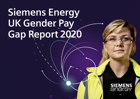# **Siemens Energy UK Gender Pay Gap Report 2020**

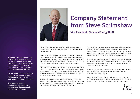

## **Company Statement from Steve Scrimshaw**

### **Vice President | Siemens Energy UK&I**

This is the first time we have reported our Gender Pay Gap as an independent company following the spinoff from Siemens plc in September 2020.

In the UK, Siemens Energy employs around 3,500 people located at both permanent and project sites across the country. Our energy businesses cover the entire energy conversion chain, from industrial applications, power generation, transmission and service with a key focus on decarbonisation and leading the energy transition.

Reporting the Gender Pay Gap isn't just a legal obligation to us, it is important for our businesses to understand where a gap exists and how we can all work together to narrow and ultimately close it. This report will provide us with a baseline to move forward with specific actions to address the current gap.

At Siemens Energy we're committed to maintaining an inclusive workplace where everyone is welcome and able to bring their whole selves to work. We recognise the importance of a diverse workforce and the success it brings to both us and our customers.

Traditionally, women have been under-represented in engineering and manufacturing sectors. A fifth of our workforce is female, with some of those working part time. We want to attract more women to work in our vibrant and engaging sector and we want to provide a clear career path for the women who already work for us.

Increasing representation across all our businesses and at all levels is one of our top priorities. And initiatives such as Catalysta and the Hawthorn Club enable us to support and inspire female talent, to create the leaders of the future.

Across all Siemens Energy businesses in the UK, we have a Gender Pay Gap of 16% for both mean and median pay and we are committed to closing this gap.

I'm inspired by the dedication of our team who are driving our inclusion and diversity agenda across all our businesses as this will be a key element to making progress on this important topic.

**The hourly pay calculations are based on a 'snapshot date' of 5 April 2020, and the bonus pay calculations are based on the 12 months prior to this date. The data within this report reflects our organisation on this date.**

**On the 'snapshot date', Siemens Energy in the UK had a total of 3480 employees, of which 2812 were male and 668 were female.** 

**This report is based on legal gender categories. We acknowledge that our people may identify differently.**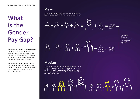## **What is the Gender Pay Gap?**

The gender pay gap is an equality measure that shows the percentage difference in average (mean or median) earnings, for both hourly pay and bonus pay, between women and men across an organisation, regardless of the nature of their work.

The gender pay gap is different to equal pay. Equal pay deals with the direct pay differences between men and women who carry out the same jobs, similar jobs or work of equal value.

### **Mean**

The mean gender pay gap is the percentage difference in the average hourly pay for women compared to men.



### **Median**

The median is the midpoint when you separately line up women's pay low to high, and the same for men. The median pay gap is the percentage difference between the hourly pay rate for the middle woman compared to that of the middle man.

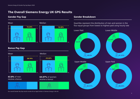## The Overall Siemens Energy UK GPG Results

### Gender Pay Gap



63.8% of men receive a bonus





64.07% of women receive a bonus



### Gender Breakdown

four equal groups from lowest to highest paid using hourly rate



*Our overall Gender Pay Gap results include all our legal entities in Siemens Energy in the UK.*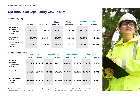## Our Individual Legal Entity GPG Results

#### Gender Pay Gap

|                                                                         |                 |                   | Mean             | <b>Median</b>    |        | <b>Receiving a Bonus</b> |  |
|-------------------------------------------------------------------------|-----------------|-------------------|------------------|------------------|--------|--------------------------|--|
|                                                                         | <b>Mean GPG</b> | <b>Median GPG</b> | <b>Bonus GPG</b> | <b>Bonus GPG</b> | Men    | Women                    |  |
| <b>Siemens Energy</b><br><b>Industrial</b><br>Turbomachinery<br>Limited | 15.63%          | 15.02%            | 40.73%           | 18.29%           | 26.03% | 18.28%                   |  |
| <b>Siemens Energy</b><br>Limited                                        | 16.70%          | 20.95%            | 19.69%           | $-83.52%$        | 96.29% | 96.20%                   |  |
| <b>Industrial Turbine</b><br>Company (UK)<br>Limited                    | 20.77%          | 16.08%            | 55.67%           | 26.56%           | 94.04% | 89.33%                   |  |

| <b>Gender Breakdown</b>                                          | <b>Lower Paid</b> |        | <b>Lower Middle</b> |        | <b>Upper Middle</b> |        | <b>Upper Paid</b> |              |
|------------------------------------------------------------------|-------------------|--------|---------------------|--------|---------------------|--------|-------------------|--------------|
|                                                                  | Men               | Women  | Men                 | Women  | <b>Men</b>          | Women  | Men               | <b>Women</b> |
| <b>Siemens Energy</b><br>Industrial<br>Turbomachinery<br>Limited | 70.21%            | 29.79% | 85.19%              | 14.81% | 84.20%              | 15.80% | 91.43%            | 8.57%        |
| <b>Siemens Energy</b><br>Limited                                 | 67.56%            | 32.44% | 78.02%              | 21.98% | 84.18%              | 15.82% | 87.13%            | 12.87%       |
| <b>Industrial Turbine</b><br>Company (UK)<br>Limited             | 68.09%            | 31.91% | 74.47%              | 25.53% | 89.36%              | 10.64% | 90.32%            | 9.68%        |

*Quartiles represent the distribution of men and women in the four equal groups from lowest to highest paid using hourly rate.* 

*Materials Solutions Limited (MSL) not included as fewer than 250 employees. MSL is included in the Siemens Energy UK overall figures.*

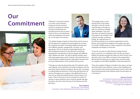## **Our**  Commitment Sa choice, and at Siemens



is a choice, and at Siemens Energy we choose inclusion. Across our business we embed inclusion and diversity into everything we do and I'm proud that one of our core behaviours, which all employees must stand by, is to be open and inclusive.



"Our global strategy is based on three drivers which serve as the foundation for a global and local programme of action. We recognise the power of bringing together perspectives from different genders, backgrounds, countries, and age groups. One of our drivers is equal opportunity: fair and transparent practices for the attraction, promotion, development and retention of diverse people with different skills, abilities and ideas. The path to gender equality starts with equal opportunity, which I believe is first and foremost a moral endeavour. Balanced teams make better decisions and are more representative of the societies that we serve.

"Through our external partnerships with The Hawthorn Club and Catalysta, we're providing our female employees with the tools they need to be able to progress. We are also committed to making balanced decisions in the hiring and placement of women throughout our company, with additional focus on how we can retain the brilliant women that we have in our teams. There is still more to do to increase the number of women in senior positions and to close the gender pay gap, but with a clear focus from the top of the business, we will get there."

**Dan Simpson** HR Director, UK & Ireland Secretary to the Global Inclusion & Diversity Council





this will be working on our internal organisations and to partner with schools and colleges to encourage more girls to consider STEAM careers to create a pipeline of the female employees and leaders of tomorrow.

"In the UK, we want to make Siemens Energy the best place to work for our employees and to do this we need to address the gender pay gap and make sure that inclusion and diversity is part of our DNA at all levels of the organisation. We will also be looking at our supply chain and encourage our suppliers to have I&D embedded in their businesses too.

"Since the snapshot of figures included in this report, we have launched several new initiatives, some of them globally and most recently a UK Inclusion and Diversity Council, which will bring forward policies and initiatives which we will report on in the future."

#### **Simone Davina**

SE General Counsel and I&D ambassador, United Kingdom, Ireland and the Netherlands. SE Global Inclusion and Diversity lead for Legal and Compliance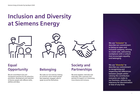## **Inclusion and Diversity at Siemens Energy**







## **Equal Opportunity**

We are committed to fair and transparent practices for the attraction, promotion, development and retention of diverse people with different skills, abilities and ideas.

## **Belonging**

We make our mix work by creating an inclusive culture where people feel respected, engaged, able to speak up and be themselves.

## **Society and Partnerships**

We work together, internally and externally, with customers and partners to support us in becoming more diverse and inclusive.

**We use "inclusion" to describe our commitment to being an open and inclusive company, striving to create safe, welcoming workplaces with a culture that encourages equality and belonging**

**We use "diversity" to describe our commitment to recognising and respecting the differences between people whilst valuing the contribution everyone can make to our business, without any tolerance for discrimination or bias of any kind.**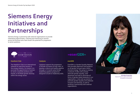## **Siemens Energy Initiatives and Partnerships**

Siemens Energy is partnering with external organisations to provide networking opportunities, coaching and mentoring to women across the business who have shown the potential for progression to senior positions.



#### **Hawthorn Club**

The Hawthorn Club is an international network for executive women in the energy industry. Its mission is to promote the appointment of women to senior corporate positions and boards; to facilitate gender diversity within the energy sector.

#### **Catalysta**

Catalysta supports the progression of female successors for key roles, to develop a robust and healthy pipeline through a 12 month early female leadership pipeline programme designed to build on leadership skills.

#### **enerGEN**

 $=$ enerGEN $=$ 

EnerGEN is a Gender Equality Network that provides alignment and guidance on all gender focused topics within Siemens Energy. The group is creating a network of allies who actively advocate gender equality, raise awareness and help to eliminate all forms of gender based obstacles in our organisation. It also sets up events to promote gender equality and celebrate inclusion and diversity, as well as working in partnership with external organisations.



Solveiga Kasputyte Head of Finance and Commercial EnergGEN Ambassador